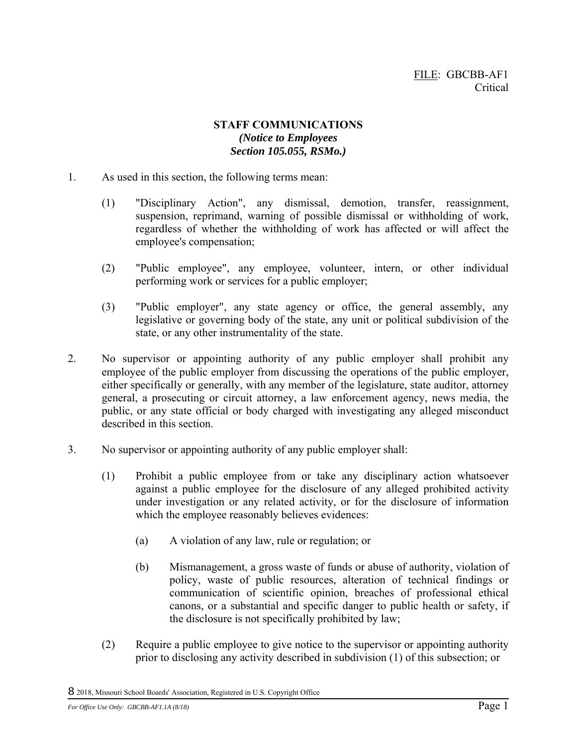## **STAFF COMMUNICATIONS**  *(Notice to Employees Section 105.055, RSMo.)*

- 1. As used in this section, the following terms mean:
	- (1) "Disciplinary Action", any dismissal, demotion, transfer, reassignment, suspension, reprimand, warning of possible dismissal or withholding of work, regardless of whether the withholding of work has affected or will affect the employee's compensation;
	- (2) "Public employee", any employee, volunteer, intern, or other individual performing work or services for a public employer;
	- (3) "Public employer", any state agency or office, the general assembly, any legislative or governing body of the state, any unit or political subdivision of the state, or any other instrumentality of the state.
- 2. No supervisor or appointing authority of any public employer shall prohibit any employee of the public employer from discussing the operations of the public employer, either specifically or generally, with any member of the legislature, state auditor, attorney general, a prosecuting or circuit attorney, a law enforcement agency, news media, the public, or any state official or body charged with investigating any alleged misconduct described in this section.
- 3. No supervisor or appointing authority of any public employer shall:
	- (1) Prohibit a public employee from or take any disciplinary action whatsoever against a public employee for the disclosure of any alleged prohibited activity under investigation or any related activity, or for the disclosure of information which the employee reasonably believes evidences:
		- (a) A violation of any law, rule or regulation; or
		- (b) Mismanagement, a gross waste of funds or abuse of authority, violation of policy, waste of public resources, alteration of technical findings or communication of scientific opinion, breaches of professional ethical canons, or a substantial and specific danger to public health or safety, if the disclosure is not specifically prohibited by law;
	- (2) Require a public employee to give notice to the supervisor or appointing authority prior to disclosing any activity described in subdivision (1) of this subsection; or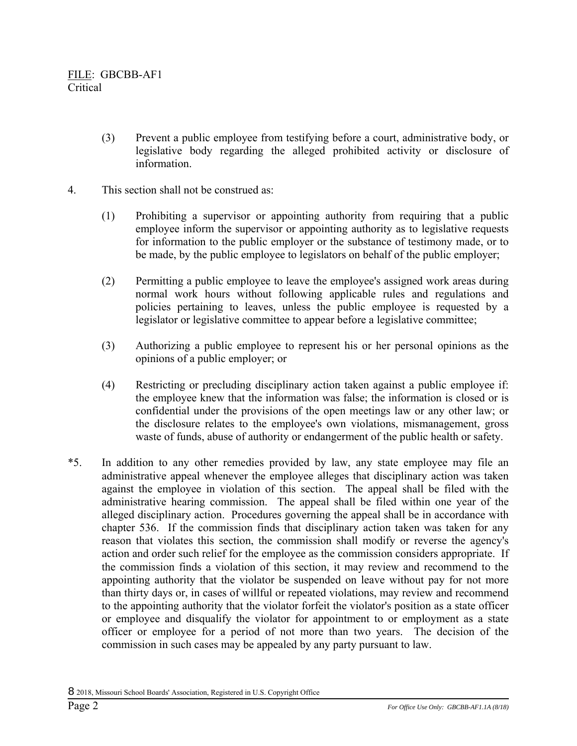- (3) Prevent a public employee from testifying before a court, administrative body, or legislative body regarding the alleged prohibited activity or disclosure of information.
- 4. This section shall not be construed as:
	- (1) Prohibiting a supervisor or appointing authority from requiring that a public employee inform the supervisor or appointing authority as to legislative requests for information to the public employer or the substance of testimony made, or to be made, by the public employee to legislators on behalf of the public employer;
	- (2) Permitting a public employee to leave the employee's assigned work areas during normal work hours without following applicable rules and regulations and policies pertaining to leaves, unless the public employee is requested by a legislator or legislative committee to appear before a legislative committee;
	- (3) Authorizing a public employee to represent his or her personal opinions as the opinions of a public employer; or
	- (4) Restricting or precluding disciplinary action taken against a public employee if: the employee knew that the information was false; the information is closed or is confidential under the provisions of the open meetings law or any other law; or the disclosure relates to the employee's own violations, mismanagement, gross waste of funds, abuse of authority or endangerment of the public health or safety.
- \*5. In addition to any other remedies provided by law, any state employee may file an administrative appeal whenever the employee alleges that disciplinary action was taken against the employee in violation of this section. The appeal shall be filed with the administrative hearing commission. The appeal shall be filed within one year of the alleged disciplinary action. Procedures governing the appeal shall be in accordance with chapter 536. If the commission finds that disciplinary action taken was taken for any reason that violates this section, the commission shall modify or reverse the agency's action and order such relief for the employee as the commission considers appropriate. If the commission finds a violation of this section, it may review and recommend to the appointing authority that the violator be suspended on leave without pay for not more than thirty days or, in cases of willful or repeated violations, may review and recommend to the appointing authority that the violator forfeit the violator's position as a state officer or employee and disqualify the violator for appointment to or employment as a state officer or employee for a period of not more than two years. The decision of the commission in such cases may be appealed by any party pursuant to law.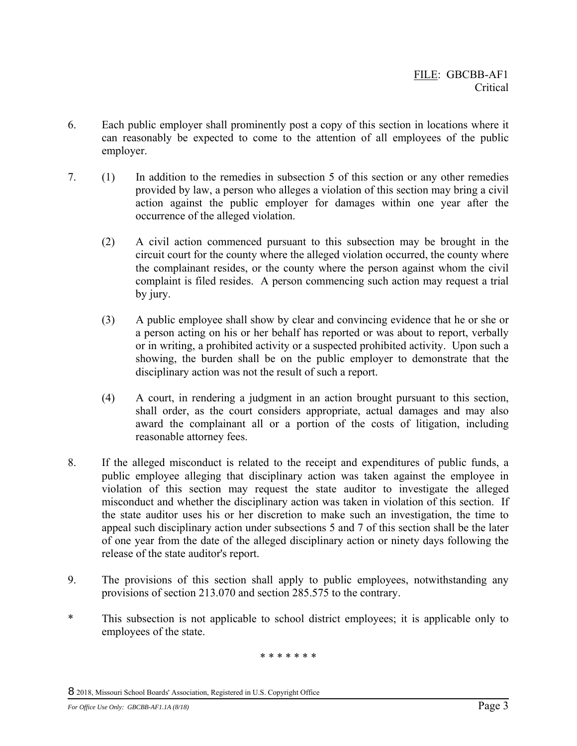- 6. Each public employer shall prominently post a copy of this section in locations where it can reasonably be expected to come to the attention of all employees of the public employer.
- 7. (1) In addition to the remedies in subsection 5 of this section or any other remedies provided by law, a person who alleges a violation of this section may bring a civil action against the public employer for damages within one year after the occurrence of the alleged violation.
	- (2) A civil action commenced pursuant to this subsection may be brought in the circuit court for the county where the alleged violation occurred, the county where the complainant resides, or the county where the person against whom the civil complaint is filed resides. A person commencing such action may request a trial by jury.
	- (3) A public employee shall show by clear and convincing evidence that he or she or a person acting on his or her behalf has reported or was about to report, verbally or in writing, a prohibited activity or a suspected prohibited activity. Upon such a showing, the burden shall be on the public employer to demonstrate that the disciplinary action was not the result of such a report.
	- (4) A court, in rendering a judgment in an action brought pursuant to this section, shall order, as the court considers appropriate, actual damages and may also award the complainant all or a portion of the costs of litigation, including reasonable attorney fees.
- 8. If the alleged misconduct is related to the receipt and expenditures of public funds, a public employee alleging that disciplinary action was taken against the employee in violation of this section may request the state auditor to investigate the alleged misconduct and whether the disciplinary action was taken in violation of this section. If the state auditor uses his or her discretion to make such an investigation, the time to appeal such disciplinary action under subsections 5 and 7 of this section shall be the later of one year from the date of the alleged disciplinary action or ninety days following the release of the state auditor's report.
- 9. The provisions of this section shall apply to public employees, notwithstanding any provisions of section 213.070 and section 285.575 to the contrary.
- \* This subsection is not applicable to school district employees; it is applicable only to employees of the state.

\* \* \* \* \* \* \*